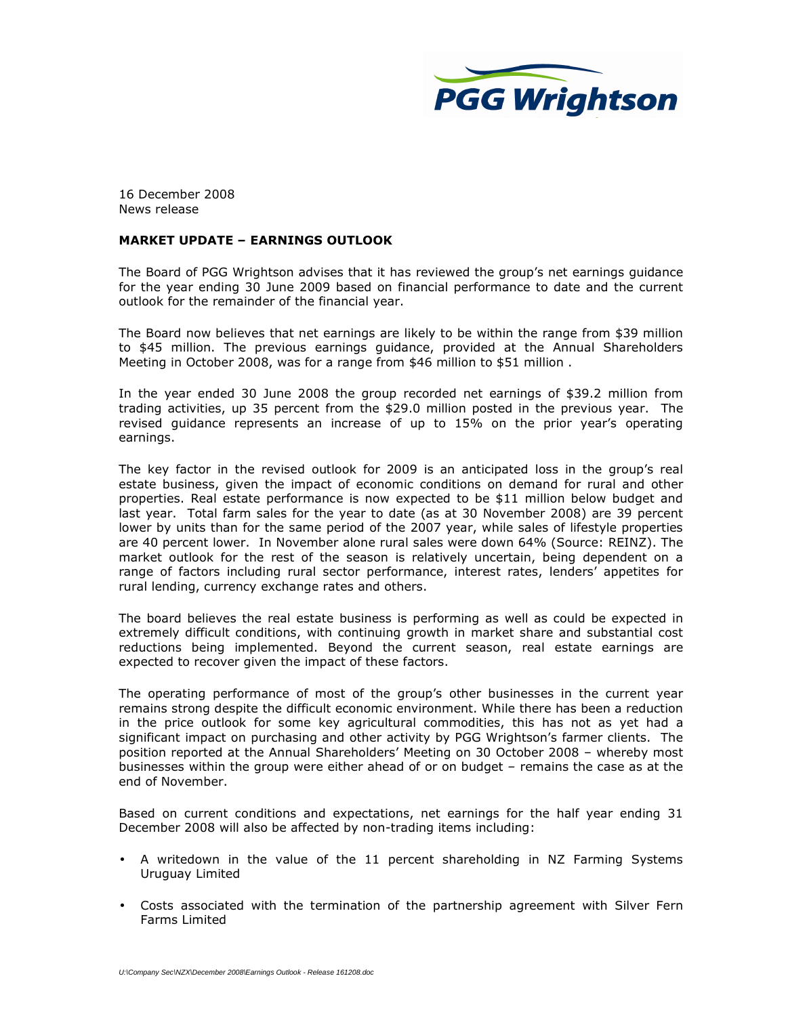

16 December 2008 News release

## MARKET UPDATE – EARNINGS OUTLOOK

The Board of PGG Wrightson advises that it has reviewed the group's net earnings guidance for the year ending 30 June 2009 based on financial performance to date and the current outlook for the remainder of the financial year.

The Board now believes that net earnings are likely to be within the range from \$39 million to \$45 million. The previous earnings guidance, provided at the Annual Shareholders Meeting in October 2008, was for a range from \$46 million to \$51 million.

In the year ended 30 June 2008 the group recorded net earnings of \$39.2 million from trading activities, up 35 percent from the \$29.0 million posted in the previous year. The revised guidance represents an increase of up to 15% on the prior year's operating earnings.

The key factor in the revised outlook for 2009 is an anticipated loss in the group's real estate business, given the impact of economic conditions on demand for rural and other properties. Real estate performance is now expected to be \$11 million below budget and last year. Total farm sales for the year to date (as at 30 November 2008) are 39 percent lower by units than for the same period of the 2007 year, while sales of lifestyle properties are 40 percent lower. In November alone rural sales were down 64% (Source: REINZ). The market outlook for the rest of the season is relatively uncertain, being dependent on a range of factors including rural sector performance, interest rates, lenders' appetites for rural lending, currency exchange rates and others.

The board believes the real estate business is performing as well as could be expected in extremely difficult conditions, with continuing growth in market share and substantial cost reductions being implemented. Beyond the current season, real estate earnings are expected to recover given the impact of these factors.

The operating performance of most of the group's other businesses in the current year remains strong despite the difficult economic environment. While there has been a reduction in the price outlook for some key agricultural commodities, this has not as yet had a significant impact on purchasing and other activity by PGG Wrightson's farmer clients. The position reported at the Annual Shareholders' Meeting on 30 October 2008 – whereby most businesses within the group were either ahead of or on budget – remains the case as at the end of November.

Based on current conditions and expectations, net earnings for the half year ending 31 December 2008 will also be affected by non-trading items including:

- A writedown in the value of the 11 percent shareholding in NZ Farming Systems Uruguay Limited
- Costs associated with the termination of the partnership agreement with Silver Fern Farms Limited